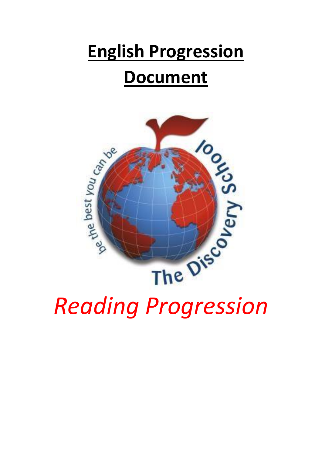## **English Progression Document**

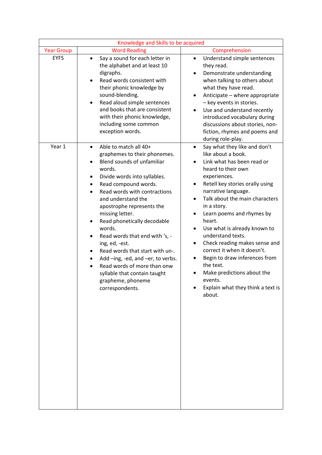| Knowledge and Skills to be acquired |                                                                                                                                                                                                                                                                                                                                                                                                                                                                                                                                                                             |                                                                                                                                                                                                                                                                                                                                                                                                                                                                                                                                                                                                           |
|-------------------------------------|-----------------------------------------------------------------------------------------------------------------------------------------------------------------------------------------------------------------------------------------------------------------------------------------------------------------------------------------------------------------------------------------------------------------------------------------------------------------------------------------------------------------------------------------------------------------------------|-----------------------------------------------------------------------------------------------------------------------------------------------------------------------------------------------------------------------------------------------------------------------------------------------------------------------------------------------------------------------------------------------------------------------------------------------------------------------------------------------------------------------------------------------------------------------------------------------------------|
| <b>Year Group</b>                   | <b>Word Reading</b>                                                                                                                                                                                                                                                                                                                                                                                                                                                                                                                                                         | Comprehension                                                                                                                                                                                                                                                                                                                                                                                                                                                                                                                                                                                             |
| <b>EYFS</b>                         | Say a sound for each letter in<br>$\bullet$<br>the alphabet and at least 10<br>digraphs.<br>Read words consistent with<br>their phonic knowledge by<br>sound-blending.<br>Read aloud simple sentences<br>$\bullet$<br>and books that are consistent<br>with their phonic knowledge,<br>including some common<br>exception words.                                                                                                                                                                                                                                            | Understand simple sentences<br>$\bullet$<br>they read.<br>Demonstrate understanding<br>$\bullet$<br>when talking to others about<br>what they have read.<br>Anticipate - where appropriate<br>٠<br>- key events in stories.<br>Use and understand recently<br>$\bullet$<br>introduced vocabulary during<br>discussions about stories, non-<br>fiction, rhymes and poems and<br>during role-play.                                                                                                                                                                                                          |
| Year 1                              | Able to match all 40+<br>$\bullet$<br>graphemes to their phonemes.<br>Blend sounds of unfamiliar<br>words.<br>Divide words into syllables.<br>٠<br>Read compound words.<br>Read words with contractions<br>and understand the<br>apostrophe represents the<br>missing letter.<br>Read phonetically decodable<br>words.<br>Read words that end with 's, -<br>ing, ed, -est.<br>Read words that start with un-.<br>٠<br>Add -ing, -ed, and -er, to verbs.<br>$\bullet$<br>Read words of more than onw<br>syllable that contain taught<br>grapheme, phoneme<br>correspondents. | Say what they like and don't<br>$\bullet$<br>like about a book.<br>Link what has been read or<br>heard to their own<br>experiences.<br>Retell key stories orally using<br>٠<br>narrative language.<br>Talk about the main characters<br>$\bullet$<br>in a story.<br>Learn poems and rhymes by<br>heart.<br>Use what is already known to<br>$\bullet$<br>understand texts.<br>Check reading makes sense and<br>$\bullet$<br>correct it when it doesn't.<br>Begin to draw inferences from<br>$\bullet$<br>the text.<br>Make predictions about the<br>events.<br>Explain what they think a text is<br>about. |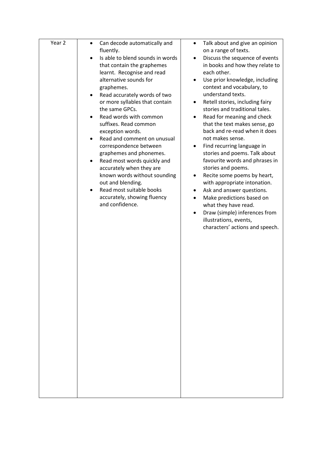| Year 2 | $\bullet$                                 |                                              |
|--------|-------------------------------------------|----------------------------------------------|
|        | Can decode automatically and              | Talk about and give an opinion<br>$\bullet$  |
|        | fluently.                                 | on a range of texts.                         |
|        | Is able to blend sounds in words          | Discuss the sequence of events               |
|        | that contain the graphemes                | in books and how they relate to              |
|        | learnt. Recognise and read                | each other.                                  |
|        | alternative sounds for                    | Use prior knowledge, including               |
|        | graphemes.                                | context and vocabulary, to                   |
|        | Read accurately words of two<br>$\bullet$ | understand texts.                            |
|        | or more syllables that contain            | Retell stories, including fairy<br>$\bullet$ |
|        | the same GPCs.                            | stories and traditional tales.               |
|        |                                           |                                              |
|        | Read words with common                    | Read for meaning and check<br>$\bullet$      |
|        | suffixes. Read common                     | that the text makes sense, go                |
|        | exception words.                          | back and re-read when it does                |
|        | Read and comment on unusual               | not makes sense.                             |
|        | correspondence between                    | Find recurring language in<br>$\bullet$      |
|        | graphemes and phonemes.                   | stories and poems. Talk about                |
|        | Read most words quickly and               | favourite words and phrases in               |
|        | accurately when they are                  | stories and poems.                           |
|        | known words without sounding              | Recite some poems by heart,<br>$\bullet$     |
|        | out and blending.                         | with appropriate intonation.                 |
|        | Read most suitable books                  |                                              |
|        |                                           | Ask and answer questions.<br>$\bullet$       |
|        | accurately, showing fluency               | Make predictions based on<br>$\bullet$       |
|        | and confidence.                           | what they have read.                         |
|        |                                           | Draw (simple) inferences from                |
|        |                                           | illustrations, events,                       |
|        |                                           | characters' actions and speech.              |
|        |                                           |                                              |
|        |                                           |                                              |
|        |                                           |                                              |
|        |                                           |                                              |
|        |                                           |                                              |
|        |                                           |                                              |
|        |                                           |                                              |
|        |                                           |                                              |
|        |                                           |                                              |
|        |                                           |                                              |
|        |                                           |                                              |
|        |                                           |                                              |
|        |                                           |                                              |
|        |                                           |                                              |
|        |                                           |                                              |
|        |                                           |                                              |
|        |                                           |                                              |
|        |                                           |                                              |
|        |                                           |                                              |
|        |                                           |                                              |
|        |                                           |                                              |
|        |                                           |                                              |
|        |                                           |                                              |
|        |                                           |                                              |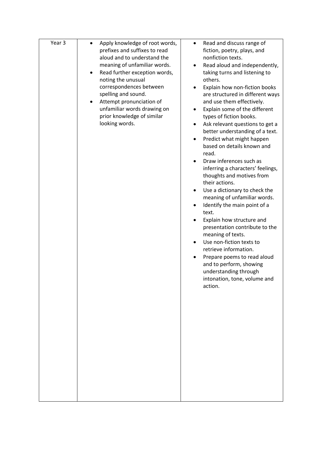| Year 3 | Apply knowledge of root words,<br>prefixes and suffixes to read<br>aloud and to understand the<br>meaning of unfamiliar words.<br>Read further exception words,<br>٠<br>noting the unusual<br>correspondences between<br>spelling and sound.<br>Attempt pronunciation of<br>$\bullet$<br>unfamiliar words drawing on<br>prior knowledge of similar<br>looking words. | Read and discuss range of<br>$\bullet$<br>fiction, poetry, plays, and<br>nonfiction texts.<br>Read aloud and independently,<br>٠<br>taking turns and listening to<br>others.<br>Explain how non-fiction books<br>are structured in different ways<br>and use them effectively.<br>Explain some of the different<br>types of fiction books.<br>Ask relevant questions to get a<br>better understanding of a text.<br>Predict what might happen<br>based on details known and<br>read.<br>Draw inferences such as<br>inferring a characters' feelings,<br>thoughts and motives from<br>their actions.<br>Use a dictionary to check the<br>٠<br>meaning of unfamiliar words.<br>Identify the main point of a<br>$\bullet$<br>text.<br>Explain how structure and<br>presentation contribute to the<br>meaning of texts.<br>Use non-fiction texts to<br>retrieve information.<br>Prepare poems to read aloud<br>$\bullet$<br>and to perform, showing<br>understanding through<br>intonation, tone, volume and<br>action. |
|--------|----------------------------------------------------------------------------------------------------------------------------------------------------------------------------------------------------------------------------------------------------------------------------------------------------------------------------------------------------------------------|---------------------------------------------------------------------------------------------------------------------------------------------------------------------------------------------------------------------------------------------------------------------------------------------------------------------------------------------------------------------------------------------------------------------------------------------------------------------------------------------------------------------------------------------------------------------------------------------------------------------------------------------------------------------------------------------------------------------------------------------------------------------------------------------------------------------------------------------------------------------------------------------------------------------------------------------------------------------------------------------------------------------|
|        |                                                                                                                                                                                                                                                                                                                                                                      |                                                                                                                                                                                                                                                                                                                                                                                                                                                                                                                                                                                                                                                                                                                                                                                                                                                                                                                                                                                                                     |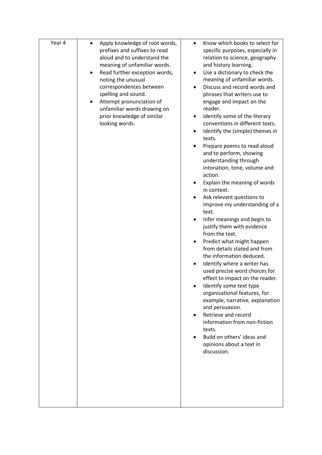| Year 4 | Apply knowledge of root words,<br>$\bullet$<br>prefixes and suffixes to read<br>aloud and to understand the<br>meaning of unfamiliar words.<br>Read further exception words,<br>$\bullet$<br>noting the unusual<br>correspondences between<br>spelling and sound.<br>Attempt pronunciation of<br>unfamiliar words drawing on<br>prior knowledge of similar<br>looking words. | Know which books to select for<br>$\bullet$<br>specific purposes, especially in<br>relation to science, geography<br>and history learning.<br>Use a dictionary to check the<br>$\bullet$<br>meaning of unfamiliar words.<br>Discuss and record words and<br>phrases that writers use to<br>engage and impact on the<br>reader.<br>Identify some of the literary<br>conventions in different texts.<br>Identify the (simple) themes in<br>texts.<br>Prepare poems to read aloud<br>and to perform, showing<br>understanding through<br>intonation, tone, volume and<br>action.<br>Explain the meaning of words<br>in context.<br>Ask relevant questions to<br>improve my understanding of a<br>text.<br>Infer meanings and begin to<br>justify them with evidence<br>from the text.<br>Predict what might happen<br>from details stated and from<br>the information deduced.<br>Identify where a writer has<br>used precise word choices for<br>effect to impact on the reader.<br>Identify some text type<br>organisational features, for<br>example, narrative, explanation<br>and persuasion.<br>Retrieve and record<br>information from non-fiction<br>texts.<br>Build on others' ideas and<br>opinions about a text in<br>discussion. |
|--------|------------------------------------------------------------------------------------------------------------------------------------------------------------------------------------------------------------------------------------------------------------------------------------------------------------------------------------------------------------------------------|-------------------------------------------------------------------------------------------------------------------------------------------------------------------------------------------------------------------------------------------------------------------------------------------------------------------------------------------------------------------------------------------------------------------------------------------------------------------------------------------------------------------------------------------------------------------------------------------------------------------------------------------------------------------------------------------------------------------------------------------------------------------------------------------------------------------------------------------------------------------------------------------------------------------------------------------------------------------------------------------------------------------------------------------------------------------------------------------------------------------------------------------------------------------------------------------------------------------------------------------|
|        |                                                                                                                                                                                                                                                                                                                                                                              |                                                                                                                                                                                                                                                                                                                                                                                                                                                                                                                                                                                                                                                                                                                                                                                                                                                                                                                                                                                                                                                                                                                                                                                                                                           |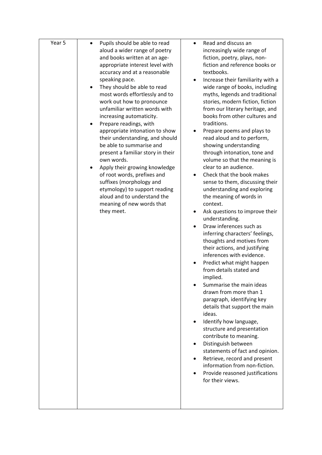| Year 5 | Pupils should be able to read<br>$\bullet$                   | Read and discuss an<br>$\bullet$                                  |
|--------|--------------------------------------------------------------|-------------------------------------------------------------------|
|        | aloud a wider range of poetry                                | increasingly wide range of                                        |
|        | and books written at an age-                                 | fiction, poetry, plays, non-                                      |
|        | appropriate interest level with                              | fiction and reference books or                                    |
|        | accuracy and at a reasonable                                 | textbooks.                                                        |
|        | speaking pace.                                               | Increase their familiarity with a<br>$\bullet$                    |
|        | They should be able to read                                  | wide range of books, including                                    |
|        | most words effortlessly and to                               | myths, legends and traditional                                    |
|        | work out how to pronounce                                    | stories, modern fiction, fiction                                  |
|        | unfamiliar written words with                                | from our literary heritage, and                                   |
|        | increasing automaticity.                                     | books from other cultures and                                     |
|        | Prepare readings, with                                       | traditions.                                                       |
|        | appropriate intonation to show                               | Prepare poems and plays to                                        |
|        | their understanding, and should                              | read aloud and to perform,                                        |
|        | be able to summarise and                                     | showing understanding                                             |
|        | present a familiar story in their                            | through intonation, tone and                                      |
|        | own words.                                                   | volume so that the meaning is                                     |
|        | Apply their growing knowledge                                | clear to an audience.                                             |
|        | of root words, prefixes and                                  | Check that the book makes                                         |
|        | suffixes (morphology and                                     | sense to them, discussing their<br>understanding and exploring    |
|        | etymology) to support reading<br>aloud and to understand the | the meaning of words in                                           |
|        | meaning of new words that                                    | context.                                                          |
|        | they meet.                                                   | Ask questions to improve their<br>$\bullet$                       |
|        |                                                              | understanding.                                                    |
|        |                                                              | Draw inferences such as                                           |
|        |                                                              | inferring characters' feelings,                                   |
|        |                                                              | thoughts and motives from                                         |
|        |                                                              | their actions, and justifying<br>inferences with evidence.        |
|        |                                                              |                                                                   |
|        |                                                              | Predict what might happen<br>$\bullet$<br>from details stated and |
|        |                                                              | implied.                                                          |
|        |                                                              | Summarise the main ideas                                          |
|        |                                                              | drawn from more than 1                                            |
|        |                                                              | paragraph, identifying key                                        |
|        |                                                              | details that support the main                                     |
|        |                                                              | ideas.                                                            |
|        |                                                              | Identify how language,                                            |
|        |                                                              | structure and presentation                                        |
|        |                                                              | contribute to meaning.                                            |
|        |                                                              | Distinguish between<br>$\bullet$                                  |
|        |                                                              | statements of fact and opinion.                                   |
|        |                                                              | Retrieve, record and present<br>$\bullet$                         |
|        |                                                              | information from non-fiction.                                     |
|        |                                                              | Provide reasoned justifications                                   |
|        |                                                              | for their views.                                                  |
|        |                                                              |                                                                   |
|        |                                                              |                                                                   |
|        |                                                              |                                                                   |